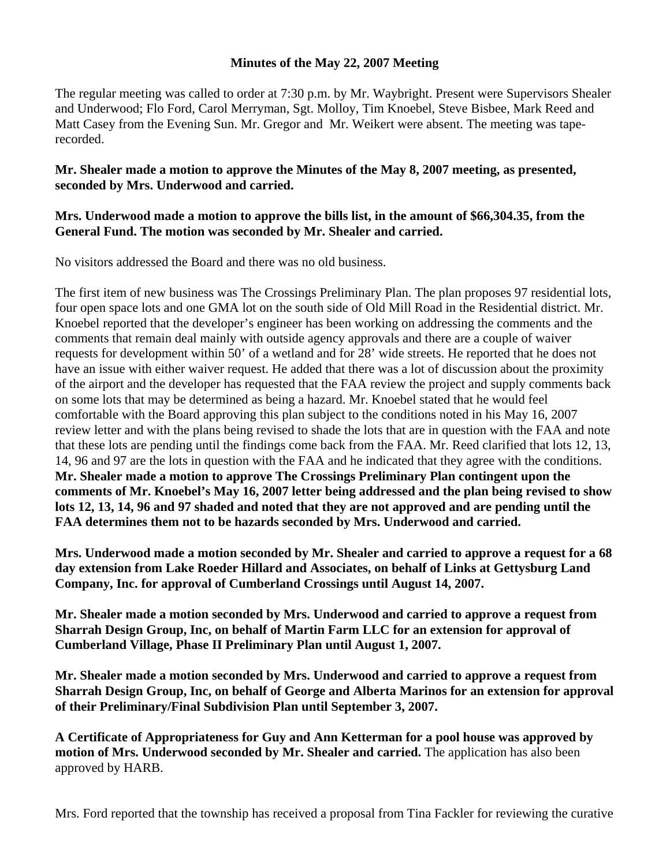## **Minutes of the May 22, 2007 Meeting**

The regular meeting was called to order at 7:30 p.m. by Mr. Waybright. Present were Supervisors Shealer and Underwood; Flo Ford, Carol Merryman, Sgt. Molloy, Tim Knoebel, Steve Bisbee, Mark Reed and Matt Casey from the Evening Sun. Mr. Gregor and Mr. Weikert were absent. The meeting was taperecorded.

## **Mr. Shealer made a motion to approve the Minutes of the May 8, 2007 meeting, as presented, seconded by Mrs. Underwood and carried.**

## **Mrs. Underwood made a motion to approve the bills list, in the amount of \$66,304.35, from the General Fund. The motion was seconded by Mr. Shealer and carried.**

No visitors addressed the Board and there was no old business.

The first item of new business was The Crossings Preliminary Plan. The plan proposes 97 residential lots, four open space lots and one GMA lot on the south side of Old Mill Road in the Residential district. Mr. Knoebel reported that the developer's engineer has been working on addressing the comments and the comments that remain deal mainly with outside agency approvals and there are a couple of waiver requests for development within 50' of a wetland and for 28' wide streets. He reported that he does not have an issue with either waiver request. He added that there was a lot of discussion about the proximity of the airport and the developer has requested that the FAA review the project and supply comments back on some lots that may be determined as being a hazard. Mr. Knoebel stated that he would feel comfortable with the Board approving this plan subject to the conditions noted in his May 16, 2007 review letter and with the plans being revised to shade the lots that are in question with the FAA and note that these lots are pending until the findings come back from the FAA. Mr. Reed clarified that lots 12, 13, 14, 96 and 97 are the lots in question with the FAA and he indicated that they agree with the conditions. **Mr. Shealer made a motion to approve The Crossings Preliminary Plan contingent upon the comments of Mr. Knoebel's May 16, 2007 letter being addressed and the plan being revised to show lots 12, 13, 14, 96 and 97 shaded and noted that they are not approved and are pending until the FAA determines them not to be hazards seconded by Mrs. Underwood and carried.** 

**Mrs. Underwood made a motion seconded by Mr. Shealer and carried to approve a request for a 68 day extension from Lake Roeder Hillard and Associates, on behalf of Links at Gettysburg Land Company, Inc. for approval of Cumberland Crossings until August 14, 2007.** 

**Mr. Shealer made a motion seconded by Mrs. Underwood and carried to approve a request from Sharrah Design Group, Inc, on behalf of Martin Farm LLC for an extension for approval of Cumberland Village, Phase II Preliminary Plan until August 1, 2007.** 

**Mr. Shealer made a motion seconded by Mrs. Underwood and carried to approve a request from Sharrah Design Group, Inc, on behalf of George and Alberta Marinos for an extension for approval of their Preliminary/Final Subdivision Plan until September 3, 2007.** 

**A Certificate of Appropriateness for Guy and Ann Ketterman for a pool house was approved by motion of Mrs. Underwood seconded by Mr. Shealer and carried.** The application has also been approved by HARB.

Mrs. Ford reported that the township has received a proposal from Tina Fackler for reviewing the curative